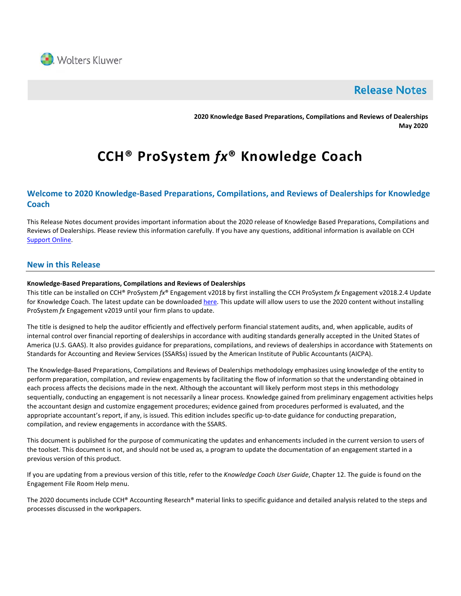

# **Release Notes**

**2020 Knowledge Based Preparations, Compilations and Reviews of Dealerships May 2020**

# **CCH® ProSystem** *fx***® Knowledge Coach**

# **Welcome to 2020 Knowledge-Based Preparations, Compilations, and Reviews of Dealerships for Knowledge Coach**

This Release Notes document provides important information about the 2020 release of Knowledge Based Preparations, Compilations and Reviews of Dealerships. Please review this information carefully. If you have any questions, additional information is available on CCH [Support Online.](http://support.cch.com/productsupport/)

#### **New in this Release**

#### **Knowledge-Based Preparations, Compilations and Reviews of Dealerships**

This title can be installed on CCH® ProSystem *fx*® Engagement v2018 by first installing the CCH ProSystem *fx* Engagement v2018.2.4 Update for Knowledge Coach. The latest update can be downloade[d here.](https://support.cch.com/updates/Engagement/release2018/release2018.aspx) This update will allow users to use the 2020 content without installing ProSystem *fx* Engagement v2019 until your firm plans to update.

The title is designed to help the auditor efficiently and effectively perform financial statement audits, and, when applicable, audits of internal control over financial reporting of dealerships in accordance with auditing standards generally accepted in the United States of America (U.S. GAAS). It also provides guidance for preparations, compilations, and reviews of dealerships in accordance with Statements on Standards for Accounting and Review Services (SSARSs) issued by the American Institute of Public Accountants (AICPA).

The Knowledge-Based Preparations, Compilations and Reviews of Dealerships methodology emphasizes using knowledge of the entity to perform preparation, compilation, and review engagements by facilitating the flow of information so that the understanding obtained in each process affects the decisions made in the next. Although the accountant will likely perform most steps in this methodology sequentially, conducting an engagement is not necessarily a linear process. Knowledge gained from preliminary engagement activities helps the accountant design and customize engagement procedures; evidence gained from procedures performed is evaluated, and the appropriate accountant's report, if any, is issued. This edition includes specific up-to-date guidance for conducting preparation, compilation, and review engagements in accordance with the SSARS.

This document is published for the purpose of communicating the updates and enhancements included in the current version to users of the toolset. This document is not, and should not be used as, a program to update the documentation of an engagement started in a previous version of this product.

If you are updating from a previous version of this title, refer to the *Knowledge Coach User Guide*, Chapter 12. The guide is found on the Engagement File Room Help menu.

The 2020 documents include CCH® Accounting Research® material links to specific guidance and detailed analysis related to the steps and processes discussed in the workpapers.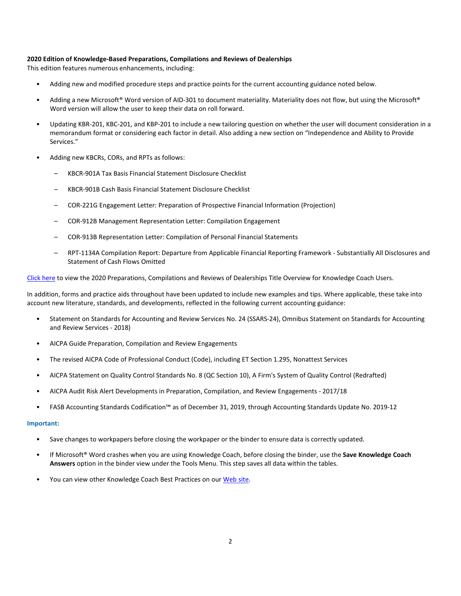#### **2020 Edition of Knowledge-Based Preparations, Compilations and Reviews of Dealerships**

This edition features numerous enhancements, including:

- Adding new and modified procedure steps and practice points for the current accounting guidance noted below.
- Adding a new Microsoft® Word version of AID-301 to document materiality. Materiality does not flow, but using the Microsoft® Word version will allow the user to keep their data on roll forward.
- Updating KBR-201, KBC-201, and KBP-201 to include a new tailoring question on whether the user will document consideration in a memorandum format or considering each factor in detail. Also adding a new section on "Independence and Ability to Provide Services."
- Adding new KBCRs, CORs, and RPTs as follows:
	- KBCR-901A Tax Basis Financial Statement Disclosure Checklist
	- KBCR-901B Cash Basis Financial Statement Disclosure Checklist
	- COR-221G Engagement Letter: Preparation of Prospective Financial Information (Projection)
	- COR-912B Management Representation Letter: Compilation Engagement
	- COR-913B Representation Letter: Compilation of Personal Financial Statements
	- RPT-1134A Compilation Report: Departure from Applicable Financial Reporting Framework Substantially All Disclosures and Statement of Cash Flows Omitted

[Click here](http://support.cch.com/updates/KnowledgeCoach/pdf/guides_tab/2020%20Dealerships%20PCR%20Title%20Overview%20for%20Knowledge%20Coach%20Users.pdf) to view the 2020 Preparations, Compilations and Reviews of Dealerships Title Overview for Knowledge Coach Users.

In addition, forms and practice aids throughout have been updated to include new examples and tips. Where applicable, these take into account new literature, standards, and developments, reflected in the following current accounting guidance:

- Statement on Standards for Accounting and Review Services No. 24 (SSARS-24), Omnibus Statement on Standards for Accounting and Review Services - 2018)
- AICPA Guide Preparation, Compilation and Review Engagements
- The revised AICPA Code of Professional Conduct (Code), including ET Section 1.295, Nonattest Services
- AICPA Statement on Quality Control Standards No. 8 (QC Section 10), A Firm's System of Quality Control (Redrafted)
- AICPA Audit Risk Alert Developments in Preparation, Compilation, and Review Engagements 2017/18
- FASB Accounting Standards Codification™ as of December 31, 2019, through Accounting Standards Update No. 2019-12

#### **Important:**

- Save changes to workpapers before closing the workpaper or the binder to ensure data is correctly updated.
- If Microsoft® Word crashes when you are using Knowledge Coach, before closing the binder, use the **Save Knowledge Coach Answers** option in the binder view under the Tools Menu. This step saves all data within the tables.
- You can view other Knowledge Coach Best Practices on ou[r Web site.](https://support.cch.com/kb/solution/000034942/sw34947)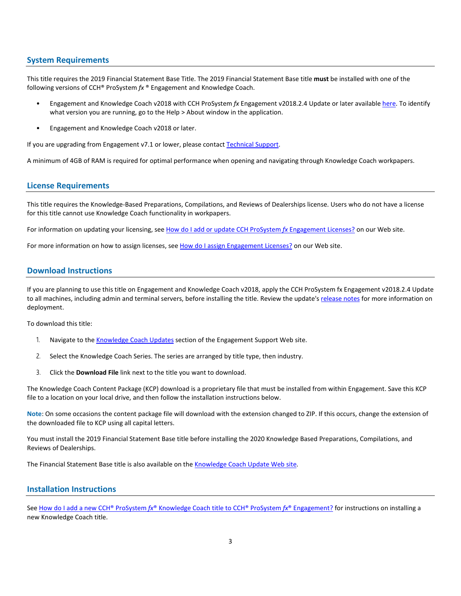#### **System Requirements**

This title requires the 2019 Financial Statement Base Title. The 2019 Financial Statement Base title **must** be installed with one of the following versions of CCH® ProSystem *fx* ® Engagement and Knowledge Coach.

- Engagement and Knowledge Coach v2018 with CCH ProSystem *fx* Engagement v2018.2.4 Update or later available [here.](https://support.cch.com/updates/Engagement/release2018/release2018.aspx) To identify what version you are running, go to the Help > About window in the application.
- Engagement and Knowledge Coach v2018 or later.

If you are upgrading from Engagement v7.1 or lower, please contact [Technical Support.](https://support.cch.com/contact)

A minimum of 4GB of RAM is required for optimal performance when opening and navigating through Knowledge Coach workpapers.

#### **License Requirements**

This title requires the Knowledge-Based Preparations, Compilations, and Reviews of Dealerships license. Users who do not have a license for this title cannot use Knowledge Coach functionality in workpapers.

For information on updating your licensing, see [How do I add or update CCH ProSystem](https://support.cch.com/kb/solution.aspx/sw3937) *fx* Engagement Licenses? on our Web site.

For more information on how to assign licenses, see [How do I assign Engagement Licenses?](https://support.cch.com/kb/solution.aspx/sw3943) on our Web site.

#### **Download Instructions**

If you are planning to use this title on Engagement and Knowledge Coach v2018, apply the CCH ProSystem fx Engagement v2018.2.4 Update to all machines, including admin and terminal servers, before installing the title. Review the update'[s release notes](https://d2iceilwdglxpz.cloudfront.net/release_notes/CCH%20ProSystem%20fx%20Engagement%202018.2.4%20Release%20Notes.pdf) for more information on deployment.

To download this title:

- 1. Navigate to the [Knowledge Coach Updates](http://support.cch.com/updates/KnowledgeCoach) section of the Engagement Support Web site.
- 2. Select the Knowledge Coach Series. The series are arranged by title type, then industry.
- 3. Click the **Download File** link next to the title you want to download.

The Knowledge Coach Content Package (KCP) download is a proprietary file that must be installed from within Engagement. Save this KCP file to a location on your local drive, and then follow the installation instructions below.

**Note**: On some occasions the content package file will download with the extension changed to ZIP. If this occurs, change the extension of the downloaded file to KCP using all capital letters.

You must install the 2019 Financial Statement Base title before installing the 2020 Knowledge Based Preparations, Compilations, and Reviews of Dealerships.

The Financial Statement Base title is also available on th[e Knowledge Coach Update Web](http://support.cch.com/updates/KnowledgeCoach) site.

#### **Installation Instructions**

See How do I add a new CCH® ProSystem *fx*[® Knowledge Coach title to CCH® ProSystem](https://support.cch.com/kb/solution/000033707/sw30271) *fx*® Engagement? for instructions on installing a new Knowledge Coach title.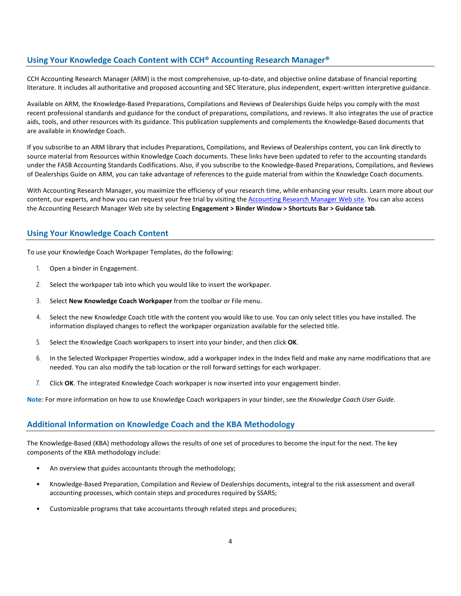### **Using Your Knowledge Coach Content with CCH® Accounting Research Manager®**

CCH Accounting Research Manager (ARM) is the most comprehensive, up-to-date, and objective online database of financial reporting literature. It includes all authoritative and proposed accounting and SEC literature, plus independent, expert-written interpretive guidance.

Available on ARM, the Knowledge-Based Preparations, Compilations and Reviews of Dealerships Guide helps you comply with the most recent professional standards and guidance for the conduct of preparations, compilations, and reviews. It also integrates the use of practice aids, tools, and other resources with its guidance. This publication supplements and complements the Knowledge-Based documents that are available in Knowledge Coach.

If you subscribe to an ARM library that includes Preparations, Compilations, and Reviews of Dealerships content, you can link directly to source material from Resources within Knowledge Coach documents. These links have been updated to refer to the accounting standards under the FASB Accounting Standards Codifications. Also, if you subscribe to the Knowledge-Based Preparations, Compilations, and Reviews of Dealerships Guide on ARM, you can take advantage of references to the guide material from within the Knowledge Coach documents.

With Accounting Research Manager, you maximize the efficiency of your research time, while enhancing your results. Learn more about our content, our experts, and how you can request your free trial by visiting the [Accounting Research Manager Web](http://www.accountingresearchmanager.com/) site. You can also access the Accounting Research Manager Web site by selecting **Engagement > Binder Window > Shortcuts Bar > Guidance tab**.

#### **Using Your Knowledge Coach Content**

To use your Knowledge Coach Workpaper Templates, do the following:

- 1. Open a binder in Engagement.
- 2. Select the workpaper tab into which you would like to insert the workpaper.
- 3. Select **New Knowledge Coach Workpaper** from the toolbar or File menu.
- 4. Select the new Knowledge Coach title with the content you would like to use. You can only select titles you have installed. The information displayed changes to reflect the workpaper organization available for the selected title.
- 5. Select the Knowledge Coach workpapers to insert into your binder, and then click **OK**.
- 6. In the Selected Workpaper Properties window, add a workpaper index in the Index field and make any name modifications that are needed. You can also modify the tab location or the roll forward settings for each workpaper.
- 7. Click **OK**. The integrated Knowledge Coach workpaper is now inserted into your engagement binder.

**Note**: For more information on how to use Knowledge Coach workpapers in your binder, see the *Knowledge Coach User Guide*.

## **Additional Information on Knowledge Coach and the KBA Methodology**

The Knowledge-Based (KBA) methodology allows the results of one set of procedures to become the input for the next. The key components of the KBA methodology include:

- An overview that guides accountants through the methodology;
- Knowledge-Based Preparation, Compilation and Review of Dealerships documents, integral to the risk assessment and overall accounting processes, which contain steps and procedures required by SSARS;
- Customizable programs that take accountants through related steps and procedures;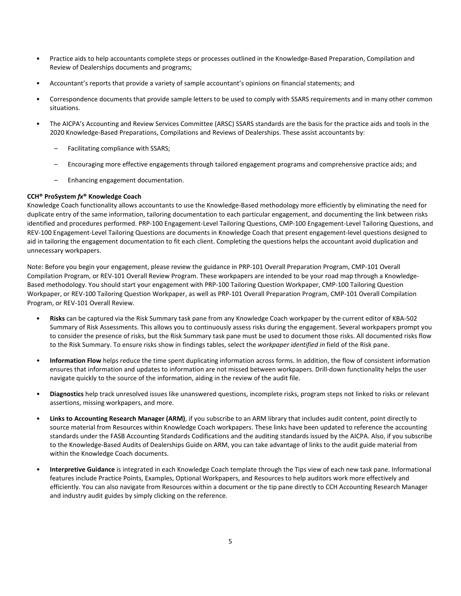- Practice aids to help accountants complete steps or processes outlined in the Knowledge-Based Preparation, Compilation and Review of Dealerships documents and programs;
- Accountant's reports that provide a variety of sample accountant's opinions on financial statements; and
- Correspondence documents that provide sample letters to be used to comply with SSARS requirements and in many other common situations.
- The AICPA's Accounting and Review Services Committee (ARSC) SSARS standards are the basis for the practice aids and tools in the 2020 Knowledge-Based Preparations, Compilations and Reviews of Dealerships. These assist accountants by:
	- Facilitating compliance with SSARS;
	- Encouraging more effective engagements through tailored engagement programs and comprehensive practice aids; and
	- Enhancing engagement documentation.

#### **CCH® ProSystem** *fx***® Knowledge Coach**

Knowledge Coach functionality allows accountants to use the Knowledge-Based methodology more efficiently by eliminating the need for duplicate entry of the same information, tailoring documentation to each particular engagement, and documenting the link between risks identified and procedures performed. PRP-100 Engagement-Level Tailoring Questions, CMP-100 Engagement-Level Tailoring Questions, and REV-100 Engagement-Level Tailoring Questions are documents in Knowledge Coach that present engagement-level questions designed to aid in tailoring the engagement documentation to fit each client. Completing the questions helps the accountant avoid duplication and unnecessary workpapers.

Note: Before you begin your engagement, please review the guidance in PRP-101 Overall Preparation Program, CMP-101 Overall Compilation Program, or REV-101 Overall Review Program. These workpapers are intended to be your road map through a Knowledge-Based methodology. You should start your engagement with PRP-100 Tailoring Question Workpaper, CMP-100 Tailoring Question Workpaper, or REV-100 Tailoring Question Workpaper, as well as PRP-101 Overall Preparation Program, CMP-101 Overall Compilation Program, or REV-101 Overall Review.

- **Risks** can be captured via the Risk Summary task pane from any Knowledge Coach workpaper by the current editor of KBA-502 Summary of Risk Assessments. This allows you to continuously assess risks during the engagement. Several workpapers prompt you to consider the presence of risks, but the Risk Summary task pane must be used to document those risks. All documented risks flow to the Risk Summary. To ensure risks show in findings tables, select the *workpaper identified in* field of the Risk pane.
- **Information Flow** helps reduce the time spent duplicating information across forms. In addition, the flow of consistent information ensures that information and updates to information are not missed between workpapers. Drill-down functionality helps the user navigate quickly to the source of the information, aiding in the review of the audit file.
- **Diagnostics** help track unresolved issues like unanswered questions, incomplete risks, program steps not linked to risks or relevant assertions, missing workpapers, and more.
- **Links to Accounting Research Manager (ARM)**, if you subscribe to an ARM library that includes audit content, point directly to source material from Resources within Knowledge Coach workpapers. These links have been updated to reference the accounting standards under the FASB Accounting Standards Codifications and the auditing standards issued by the AICPA. Also, if you subscribe to the Knowledge-Based Audits of Dealerships Guide on ARM, you can take advantage of links to the audit guide material from within the Knowledge Coach documents.
- **Interpretive Guidance** is integrated in each Knowledge Coach template through the Tips view of each new task pane. Informational features include Practice Points, Examples, Optional Workpapers, and Resources to help auditors work more effectively and efficiently. You can also navigate from Resources within a document or the tip pane directly to CCH Accounting Research Manager and industry audit guides by simply clicking on the reference.